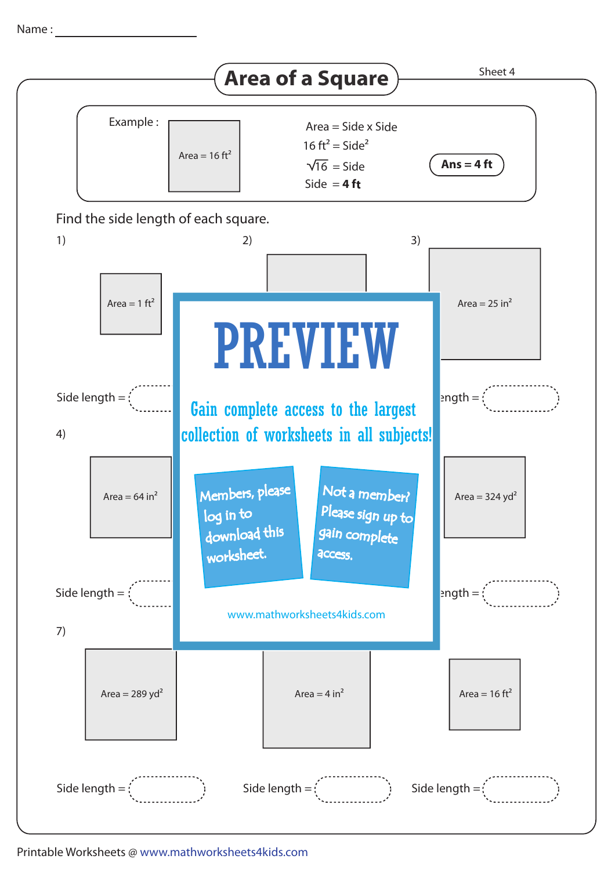